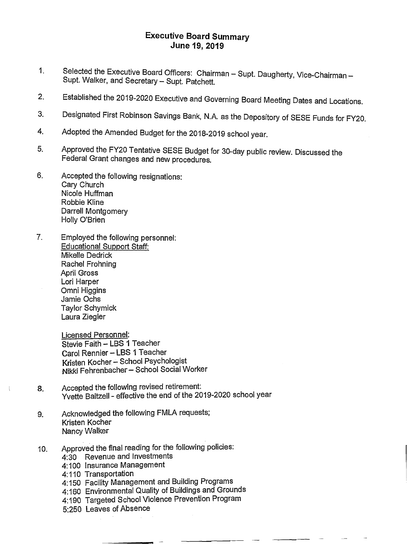## **Executive Board Summary June 19, 2019**

- 1. Selected the Executive Board Officers: Chairman Supt. Daugherty, Vice-Chairman Supt. Walker, and Secretary — Supt. Patchett.
- 2. Established the 2019-2020 Executive and Governing Board Meeting Dates and Locations.
- 3. Designated First Robinson Savings Bank, N.A. as the Depository of SESE Funds for FY20.
- 4. Adopted the Amended Budget for the 2018-2019 school year.
- 5. Approved the FY20 Tentative SESE Budget for 30-day public review. Discussed the Federal Grant changes and new procedures.
- 6. Accepted the following resignations: Cary Church Nicole Huffman Robbie Kline Darrell Montgomery Holly O'Brien
- 7. Employed the following personnel: Educational Support Staff: Mikelle Dedrick Rachel Frohning April Gross Lori Harper Omni Higgins Jamie Ochs Taylor Schymick Laura Ziegler

Licensed Personnel: Stevie Faith — LBS 1 Teacher Carol Rennier — LBS 1 Teacher Kristen Kocher - School Psychologist Nikki Fehrenbacher — School Social Worker

- 8. Accepted the following revised retirement: Yvette Baltzell - effective the end of the 2019-2020 school year
- 9. Acknowledged the following FMLA requests; Kristen Kocher Nancy Walker
- 10. Approved the final reading for the following policies:
	- 4:30 Revenue and Investments
	- 4:100 Insurance Management
	- 4:110 Transportation
	- 4:150 Facility Management and Building Programs
	- 4:160 Environmental Quality of Buildings and Grounds
	- 4:190 Targeted School Violence Prevention Program
	- 5:250 Leaves of Absence